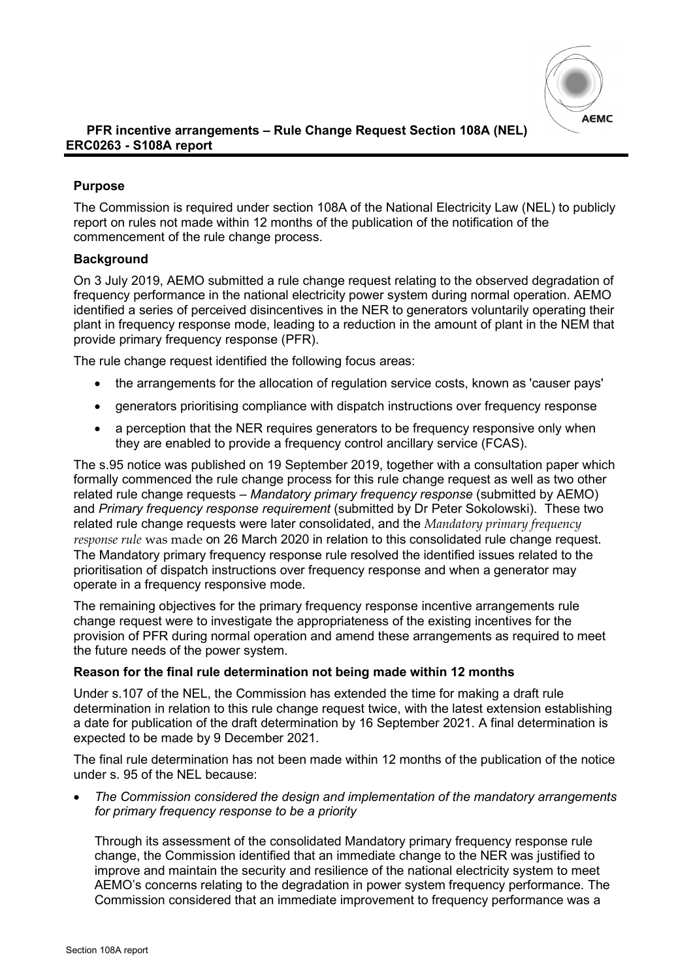

## **Purpose**

The Commission is required under section 108A of the National Electricity Law (NEL) to publicly report on rules not made within 12 months of the publication of the notification of the commencement of the rule change process.

## **Background**

On 3 July 2019, AEMO submitted a rule change request relating to the observed degradation of frequency performance in the national electricity power system during normal operation. AEMO identified a series of perceived disincentives in the NER to generators voluntarily operating their plant in frequency response mode, leading to a reduction in the amount of plant in the NEM that provide primary frequency response (PFR).

The rule change request identified the following focus areas:

- the arrangements for the allocation of regulation service costs, known as 'causer pays'
- generators prioritising compliance with dispatch instructions over frequency response
- a perception that the NER requires generators to be frequency responsive only when they are enabled to provide a frequency control ancillary service (FCAS).

The s.95 notice was published on 19 September 2019, together with a consultation paper which formally commenced the rule change process for this rule change request as well as two other related rule change requests – *Mandatory primary frequency response* (submitted by AEMO) and *Primary frequency response requirement* (submitted by Dr Peter Sokolowski). These two related rule change requests were later consolidated, and the *Mandatory primary frequency response rule* was made on 26 March 2020 in relation to this consolidated rule change request. The Mandatory primary frequency response rule resolved the identified issues related to the prioritisation of dispatch instructions over frequency response and when a generator may operate in a frequency responsive mode.

The remaining objectives for the primary frequency response incentive arrangements rule change request were to investigate the appropriateness of the existing incentives for the provision of PFR during normal operation and amend these arrangements as required to meet the future needs of the power system.

## **Reason for the final rule determination not being made within 12 months**

Under s.107 of the NEL, the Commission has extended the time for making a draft rule determination in relation to this rule change request twice, with the latest extension establishing a date for publication of the draft determination by 16 September 2021. A final determination is expected to be made by 9 December 2021.

The final rule determination has not been made within 12 months of the publication of the notice under s. 95 of the NEL because:

• *The Commission considered the design and implementation of the mandatory arrangements for primary frequency response to be a priority*

Through its assessment of the consolidated Mandatory primary frequency response rule change, the Commission identified that an immediate change to the NER was justified to improve and maintain the security and resilience of the national electricity system to meet AEMO's concerns relating to the degradation in power system frequency performance. The Commission considered that an immediate improvement to frequency performance was a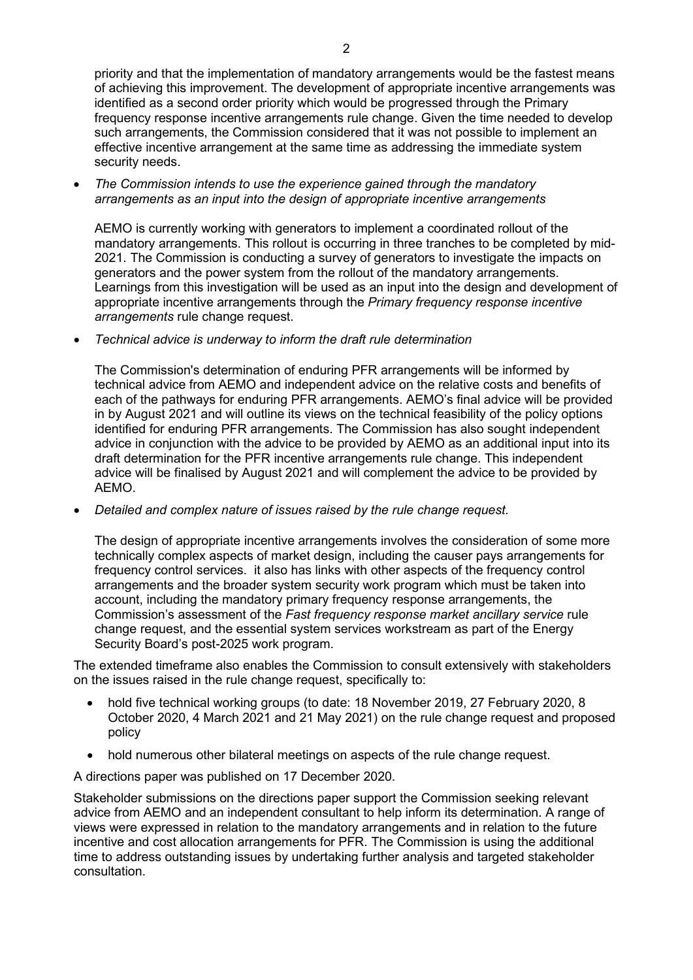priority and that the implementation of mandatory arrangements would be the fastest means of achieving this improvement. The development of appropriate incentive arrangements was identified as a second order priority which would be progressed through the Primary frequency response incentive arrangements rule change. Given the time needed to develop such arrangements, the Commission considered that it was not possible to implement an effective incentive arrangement at the same time as addressing the immediate system security needs.

• *The Commission intends to use the experience gained through the mandatory arrangements as an input into the design of appropriate incentive arrangements*

AEMO is currently working with generators to implement a coordinated rollout of the mandatory arrangements. This rollout is occurring in three tranches to be completed by mid-2021. The Commission is conducting a survey of generators to investigate the impacts on generators and the power system from the rollout of the mandatory arrangements. Learnings from this investigation will be used as an input into the design and development of appropriate incentive arrangements through the *Primary frequency response incentive arrangements* rule change request.

• *Technical advice is underway to inform the draft rule determination*

The Commission's determination of enduring PFR arrangements will be informed by technical advice from AEMO and independent advice on the relative costs and benefits of each of the pathways for enduring PFR arrangements. AEMO's final advice will be provided in by August 2021 and will outline its views on the technical feasibility of the policy options identified for enduring PFR arrangements. The Commission has also sought independent advice in conjunction with the advice to be provided by AEMO as an additional input into its draft determination for the PFR incentive arrangements rule change. This independent advice will be finalised by August 2021 and will complement the advice to be provided by AEMO.

• *Detailed and complex nature of issues raised by the rule change request.* 

The design of appropriate incentive arrangements involves the consideration of some more technically complex aspects of market design, including the causer pays arrangements for frequency control services. it also has links with other aspects of the frequency control arrangements and the broader system security work program which must be taken into account, including the mandatory primary frequency response arrangements, the Commission's assessment of the *Fast frequency response market ancillary service* rule change request, and the essential system services workstream as part of the Energy Security Board's post-2025 work program.

The extended timeframe also enables the Commission to consult extensively with stakeholders on the issues raised in the rule change request, specifically to:

- hold five technical working groups (to date: 18 November 2019, 27 February 2020, 8 October 2020, 4 March 2021 and 21 May 2021) on the rule change request and proposed policy
- hold numerous other bilateral meetings on aspects of the rule change request.

A directions paper was published on 17 December 2020.

Stakeholder submissions on the directions paper support the Commission seeking relevant advice from AEMO and an independent consultant to help inform its determination. A range of views were expressed in relation to the mandatory arrangements and in relation to the future incentive and cost allocation arrangements for PFR. The Commission is using the additional time to address outstanding issues by undertaking further analysis and targeted stakeholder consultation.